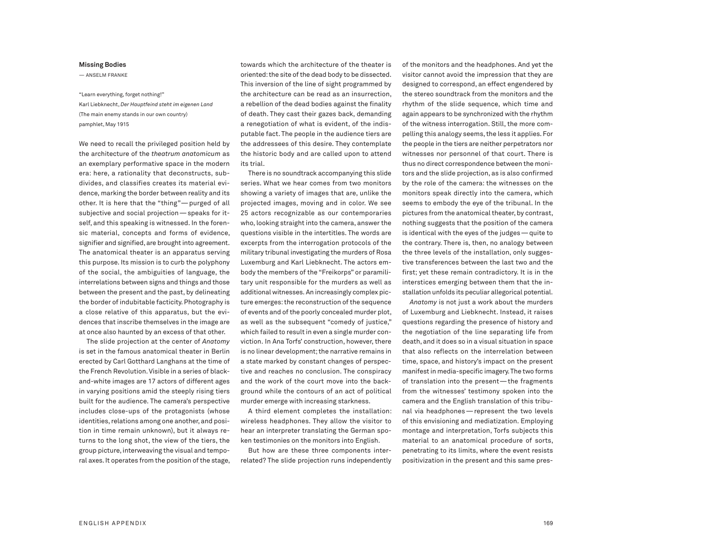## **Missing Bodies**

— ANSELM FRANKE

"Learn everything,forget nothing!" Karl Liebknecht, *Der Hauptfeind steht im eigenen Land* (The main enemy stands in our own country) pamphlet, May 1915

We need to recall the privileged position held by the architecture of the *theatrum anatomicum* as an exemplary performative space in the modern era: here, a rationality that deconstructs, subdivides, and classifies creates its material evidence, marking the border between reality and its other. It is here that the "thing"—purged of all subjective and social projection—speaks for itself, and this speaking is witnessed. In the forensic material, concepts and forms of evidence, signifier and signified, are brought into agreement. The anatomical theater is an apparatus serving this purpose. Its mission is to curb the polyphony of the social, the ambiguities of language, the interrelations between signs and things and those between the present and the past, by delineating the border of indubitable facticity. Photography is a close relative of this apparatus, but the evidences that inscribe themselves in the image are at once also haunted by an excess of that other.

The slide projection at the center of *Anatomy* is set in the famous anatomical theater in Berlin erected by Carl Gotthard Langhans at the time of the French Revolution.Visible in a series of blackand-white images are 17 actors of different ages in varying positions amid the steeply rising tiers built for the audience. The camera's perspective includes close-ups of the protagonists (whose identities, relations among one another, and position in time remain unknown), but it always returns to the long shot, the view of the tiers, the group picture, interweaving the visual and temporal axes. It operates from the position of the stage, towards which the architecture of the theater is oriented: the site of the dead body to be dissected. This inversion of the line of sight programmed by the architecture can be read as an insurrection, a rebellion of the dead bodies against the finality of death. They cast their gazes back, demanding a renegotiation of what is evident, of the indisputable fact. The people in the audience tiers are the addressees of this desire. They contemplate the historic body and are called upon to attend its trial.

There is no soundtrack accompanying this slide series. What we hear comes from two monitors showing a variety of images that are, unlike the projected images, moving and in color. We see 25 actors recognizable as our contemporaries who, looking straight into the camera, answer the questions visible in the intertitles. The words are excerpts from the interrogation protocols of the military tribunal investigating the murders of Rosa Luxemburg and Karl Liebknecht. The actors embody the members of the "Freikorps" or paramilitary unit responsible for the murders as well as additional witnesses. An increasingly complex picture emerges:the reconstruction of the sequence of events and of the poorly concealed murder plot, as well as the subsequent "comedy of justice," which failed to result in even a single murder conviction. In Ana Torfs' construction, however, there is no linear development; the narrative remains in a state marked by constant changes of perspective and reaches no conclusion. The conspiracy and the work of the court move into the background while the contours of an act of political murder emerge with increasing starkness.

A third element completes the installation: wireless headphones. They allow the visitor to hear an interpreter translating the German spoken testimonies on the monitors into English.

But how are these three components interrelated? The slide projection runs independently of the monitors and the headphones. And yet the visitor cannot avoid the impression that they are designed to correspond, an effect engendered by the stereo soundtrack from the monitors and the rhythm of the slide sequence, which time and again appears to be synchronized with the rhythm of the witness interrogation. Still, the more compelling this analogy seems, the less it applies. For the people in the tiers are neither perpetrators nor witnesses nor personnel of that court. There is thus no direct correspondence between the monitors and the slide projection, as is also confirmed by the role of the camera: the witnesses on the monitors speak directly into the camera, which seems to embody the eye of the tribunal. In the pictures from the anatomical theater, by contrast, nothing suggests that the position of the camera is identical with the eyes of the judges—quite to the contrary. There is, then, no analogy between the three levels of the installation, only suggestive transferences between the last two and the first; yet these remain contradictory. It is in the interstices emerging between them that the installation unfolds its peculiar allegorical potential.

*Anatomy* is not just a work about the murders of Luxemburg and Liebknecht. Instead, it raises questions regarding the presence of history and the negotiation of the line separating life from death, and it does so in a visual situation in space that also reflects on the interrelation between time, space, and history's impact on the present manifestin media-specific imagery.The two forms of translation into the present—the fragments from the witnesses' testimony spoken into the camera and the English translation of this tribunal via headphones—represent the two levels of this envisioning and mediatization. Employing montage and interpretation, Torfs subjects this material to an anatomical procedure of sorts, penetrating to its limits, where the event resists positivization in the present and this same pres